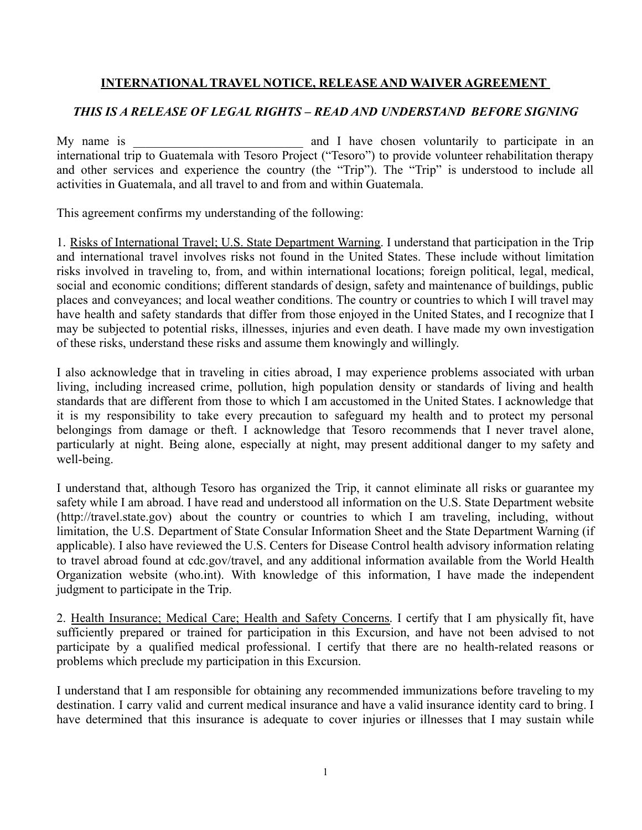## **INTERNATIONAL TRAVEL NOTICE, RELEASE AND WAIVER AGREEMENT**

## *THIS IS A RELEASE OF LEGAL RIGHTS – READ AND UNDERSTAND BEFORE SIGNING*

My name is \_\_\_\_\_\_\_\_\_\_\_\_\_\_\_\_\_\_\_\_\_\_\_\_\_\_\_ and I have chosen voluntarily to participate in an international trip to Guatemala with Tesoro Project ("Tesoro") to provide volunteer rehabilitation therapy and other services and experience the country (the "Trip"). The "Trip" is understood to include all activities in Guatemala, and all travel to and from and within Guatemala.

This agreement confirms my understanding of the following:

1. Risks of International Travel; U.S. State Department Warning. I understand that participation in the Trip and international travel involves risks not found in the United States. These include without limitation risks involved in traveling to, from, and within international locations; foreign political, legal, medical, social and economic conditions; different standards of design, safety and maintenance of buildings, public places and conveyances; and local weather conditions. The country or countries to which I will travel may have health and safety standards that differ from those enjoyed in the United States, and I recognize that I may be subjected to potential risks, illnesses, injuries and even death. I have made my own investigation of these risks, understand these risks and assume them knowingly and willingly.

I also acknowledge that in traveling in cities abroad, I may experience problems associated with urban living, including increased crime, pollution, high population density or standards of living and health standards that are different from those to which I am accustomed in the United States. I acknowledge that it is my responsibility to take every precaution to safeguard my health and to protect my personal belongings from damage or theft. I acknowledge that Tesoro recommends that I never travel alone, particularly at night. Being alone, especially at night, may present additional danger to my safety and well-being.

I understand that, although Tesoro has organized the Trip, it cannot eliminate all risks or guarantee my safety while I am abroad. I have read and understood all information on the U.S. State Department website (http://travel.state.gov) about the country or countries to which I am traveling, including, without limitation, the U.S. Department of State Consular Information Sheet and the State Department Warning (if applicable). I also have reviewed the U.S. Centers for Disease Control health advisory information relating to travel abroad found at cdc.gov/travel, and any additional information available from the World Health Organization website (who.int). With knowledge of this information, I have made the independent judgment to participate in the Trip.

2. Health Insurance; Medical Care; Health and Safety Concerns. I certify that I am physically fit, have sufficiently prepared or trained for participation in this Excursion, and have not been advised to not participate by a qualified medical professional. I certify that there are no health-related reasons or problems which preclude my participation in this Excursion.

I understand that I am responsible for obtaining any recommended immunizations before traveling to my destination. I carry valid and current medical insurance and have a valid insurance identity card to bring. I have determined that this insurance is adequate to cover injuries or illnesses that I may sustain while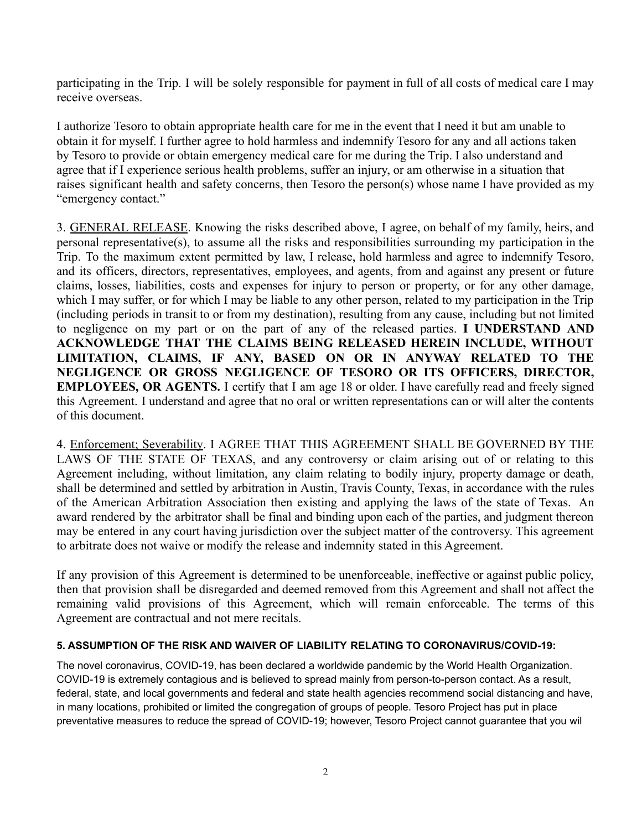participating in the Trip. I will be solely responsible for payment in full of all costs of medical care I may receive overseas.

I authorize Tesoro to obtain appropriate health care for me in the event that I need it but am unable to obtain it for myself. I further agree to hold harmless and indemnify Tesoro for any and all actions taken by Tesoro to provide or obtain emergency medical care for me during the Trip. I also understand and agree that if I experience serious health problems, suffer an injury, or am otherwise in a situation that raises significant health and safety concerns, then Tesoro the person(s) whose name I have provided as my "emergency contact."

3. GENERAL RELEASE. Knowing the risks described above, I agree, on behalf of my family, heirs, and personal representative(s), to assume all the risks and responsibilities surrounding my participation in the Trip. To the maximum extent permitted by law, I release, hold harmless and agree to indemnify Tesoro, and its officers, directors, representatives, employees, and agents, from and against any present or future claims, losses, liabilities, costs and expenses for injury to person or property, or for any other damage, which I may suffer, or for which I may be liable to any other person, related to my participation in the Trip (including periods in transit to or from my destination), resulting from any cause, including but not limited to negligence on my part or on the part of any of the released parties. **I UNDERSTAND AND ACKNOWLEDGE THAT THE CLAIMS BEING RELEASED HEREIN INCLUDE, WITHOUT LIMITATION, CLAIMS, IF ANY, BASED ON OR IN ANYWAY RELATED TO THE NEGLIGENCE OR GROSS NEGLIGENCE OF TESORO OR ITS OFFICERS, DIRECTOR, EMPLOYEES, OR AGENTS.** I certify that I am age 18 or older. I have carefully read and freely signed this Agreement. I understand and agree that no oral or written representations can or will alter the contents of this document.

4. Enforcement; Severability. I AGREE THAT THIS AGREEMENT SHALL BE GOVERNED BY THE LAWS OF THE STATE OF TEXAS, and any controversy or claim arising out of or relating to this Agreement including, without limitation, any claim relating to bodily injury, property damage or death, shall be determined and settled by arbitration in Austin, Travis County, Texas, in accordance with the rules of the American Arbitration Association then existing and applying the laws of the state of Texas. An award rendered by the arbitrator shall be final and binding upon each of the parties, and judgment thereon may be entered in any court having jurisdiction over the subject matter of the controversy. This agreement to arbitrate does not waive or modify the release and indemnity stated in this Agreement.

If any provision of this Agreement is determined to be unenforceable, ineffective or against public policy, then that provision shall be disregarded and deemed removed from this Agreement and shall not affect the remaining valid provisions of this Agreement, which will remain enforceable. The terms of this Agreement are contractual and not mere recitals.

## **5. ASSUMPTION OF THE RISK AND WAIVER OF LIABILITY RELATING TO CORONAVIRUS/COVID-19:**

The novel coronavirus, COVID-19, has been declared a worldwide pandemic by the World Health Organization. COVID-19 is extremely contagious and is believed to spread mainly from person-to-person contact. As a result, federal, state, and local governments and federal and state health agencies recommend social distancing and have, in many locations, prohibited or limited the congregation of groups of people. Tesoro Project has put in place preventative measures to reduce the spread of COVID-19; however, Tesoro Project cannot guarantee that you wil